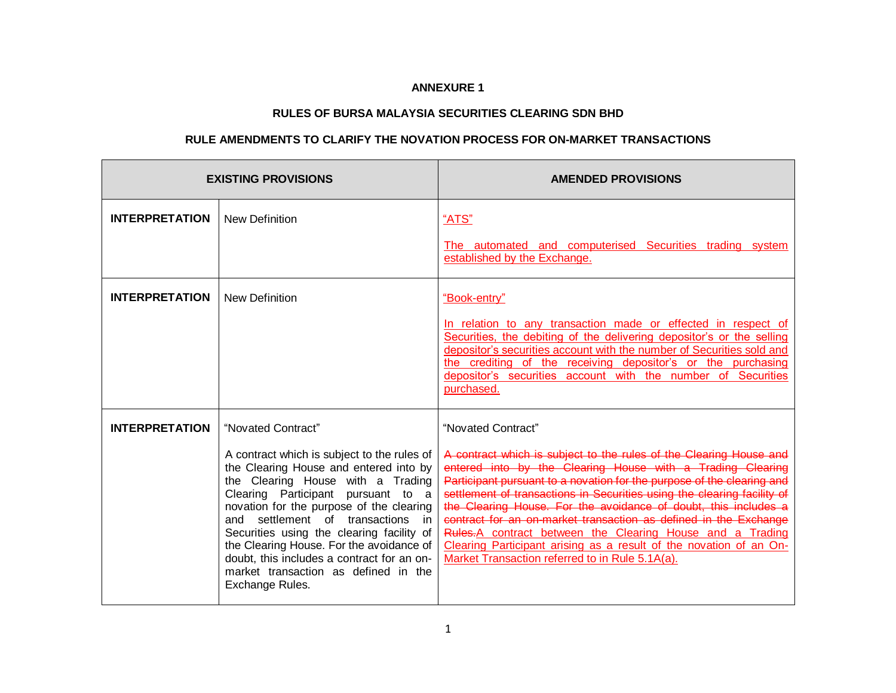## **ANNEXURE 1**

## **RULES OF BURSA MALAYSIA SECURITIES CLEARING SDN BHD**

## **RULE AMENDMENTS TO CLARIFY THE NOVATION PROCESS FOR ON-MARKET TRANSACTIONS**

| <b>EXISTING PROVISIONS</b> |                                                                                                                                                                                                                                                                                                                                                                                                                                                                                    | <b>AMENDED PROVISIONS</b>                                                                                                                                                                                                                                                                                                                                                                                                                                                                                                                                                                                                                |
|----------------------------|------------------------------------------------------------------------------------------------------------------------------------------------------------------------------------------------------------------------------------------------------------------------------------------------------------------------------------------------------------------------------------------------------------------------------------------------------------------------------------|------------------------------------------------------------------------------------------------------------------------------------------------------------------------------------------------------------------------------------------------------------------------------------------------------------------------------------------------------------------------------------------------------------------------------------------------------------------------------------------------------------------------------------------------------------------------------------------------------------------------------------------|
| <b>INTERPRETATION</b>      | <b>New Definition</b>                                                                                                                                                                                                                                                                                                                                                                                                                                                              | "ATS"                                                                                                                                                                                                                                                                                                                                                                                                                                                                                                                                                                                                                                    |
|                            |                                                                                                                                                                                                                                                                                                                                                                                                                                                                                    | The automated and computerised Securities trading system<br>established by the Exchange.                                                                                                                                                                                                                                                                                                                                                                                                                                                                                                                                                 |
| <b>INTERPRETATION</b>      | <b>New Definition</b>                                                                                                                                                                                                                                                                                                                                                                                                                                                              | "Book-entry"                                                                                                                                                                                                                                                                                                                                                                                                                                                                                                                                                                                                                             |
|                            |                                                                                                                                                                                                                                                                                                                                                                                                                                                                                    | In relation to any transaction made or effected in respect of<br>Securities, the debiting of the delivering depositor's or the selling<br>depositor's securities account with the number of Securities sold and<br>the crediting of the receiving depositor's or the purchasing<br>depositor's securities account with the number of Securities<br>purchased.                                                                                                                                                                                                                                                                            |
| <b>INTERPRETATION</b>      | "Novated Contract"<br>A contract which is subject to the rules of<br>the Clearing House and entered into by<br>the Clearing House with a Trading<br>Clearing Participant pursuant to a<br>novation for the purpose of the clearing<br>settlement of<br>transactions<br>and<br>in<br>Securities using the clearing facility of<br>the Clearing House. For the avoidance of<br>doubt, this includes a contract for an on-<br>market transaction as defined in the<br>Exchange Rules. | "Novated Contract"<br>A contract which is subject to the rules of the Clearing House and<br>entered into by the Clearing House with a Trading Clearing<br>Participant pursuant to a novation for the purpose of the clearing and<br>settlement of transactions in Securities using the clearing facility of<br>the Clearing House. For the avoidance of doubt, this includes a<br>contract for an on-market transaction as defined in the Exchange<br>Rules-A contract between the Clearing House and a Trading<br>Clearing Participant arising as a result of the novation of an On-<br>Market Transaction referred to in Rule 5.1A(a). |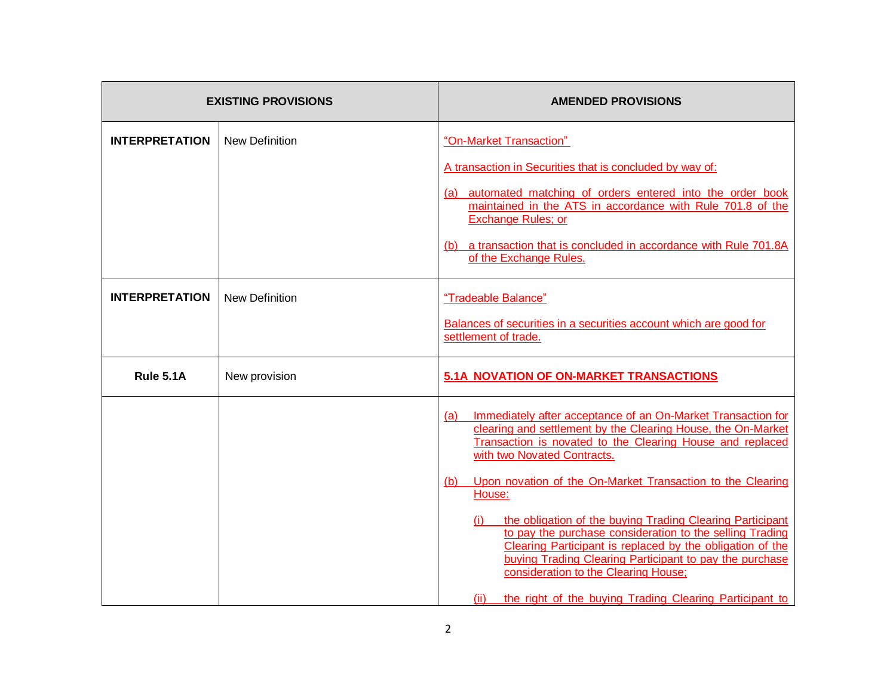| <b>EXISTING PROVISIONS</b> |                       | <b>AMENDED PROVISIONS</b>                                                                                                                                                                                                                                                                                                                                                                                                                                                                                                                                                                                                                                                         |
|----------------------------|-----------------------|-----------------------------------------------------------------------------------------------------------------------------------------------------------------------------------------------------------------------------------------------------------------------------------------------------------------------------------------------------------------------------------------------------------------------------------------------------------------------------------------------------------------------------------------------------------------------------------------------------------------------------------------------------------------------------------|
| <b>INTERPRETATION</b>      | <b>New Definition</b> | "On-Market Transaction"<br>A transaction in Securities that is concluded by way of:<br>(a) automated matching of orders entered into the order book<br>maintained in the ATS in accordance with Rule 701.8 of the<br><b>Exchange Rules; or</b><br>(b) a transaction that is concluded in accordance with Rule 701.8A<br>of the Exchange Rules.                                                                                                                                                                                                                                                                                                                                    |
| <b>INTERPRETATION</b>      | <b>New Definition</b> | "Tradeable Balance"<br>Balances of securities in a securities account which are good for<br>settlement of trade.                                                                                                                                                                                                                                                                                                                                                                                                                                                                                                                                                                  |
| Rule 5.1A                  | New provision         | 5.1A NOVATION OF ON-MARKET TRANSACTIONS                                                                                                                                                                                                                                                                                                                                                                                                                                                                                                                                                                                                                                           |
|                            |                       | Immediately after acceptance of an On-Market Transaction for<br>(a)<br>clearing and settlement by the Clearing House, the On-Market<br>Transaction is novated to the Clearing House and replaced<br>with two Novated Contracts.<br>Upon novation of the On-Market Transaction to the Clearing<br>(b)<br>House:<br>the obligation of the buying Trading Clearing Participant<br>(i)<br>to pay the purchase consideration to the selling Trading<br>Clearing Participant is replaced by the obligation of the<br>buying Trading Clearing Participant to pay the purchase<br>consideration to the Clearing House;<br>the right of the buying Trading Clearing Participant to<br>(ii) |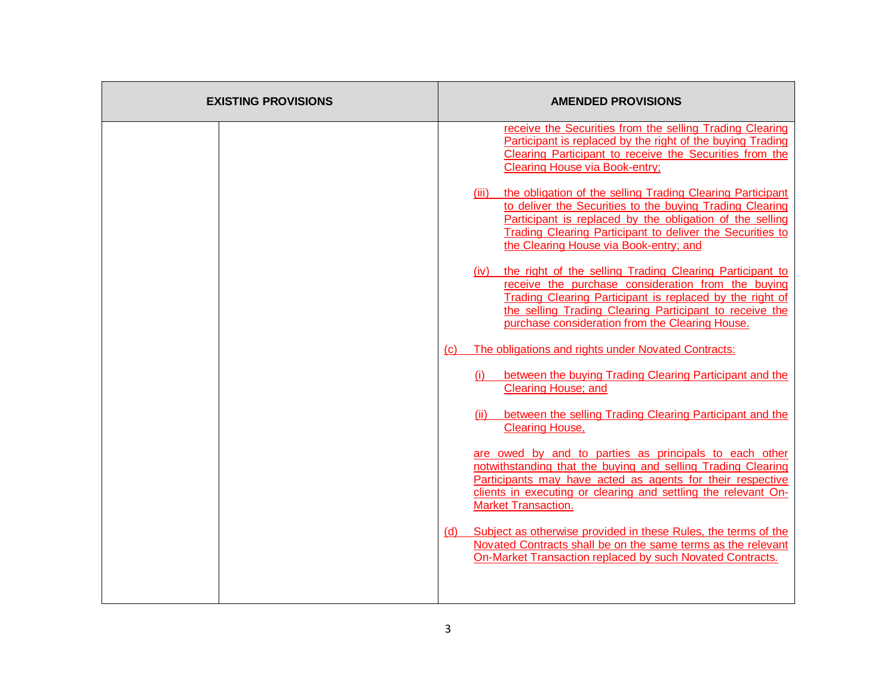| <b>EXISTING PROVISIONS</b> |     | <b>AMENDED PROVISIONS</b>                                                                                                                                                                                                                                                                       |
|----------------------------|-----|-------------------------------------------------------------------------------------------------------------------------------------------------------------------------------------------------------------------------------------------------------------------------------------------------|
|                            |     | receive the Securities from the selling Trading Clearing<br>Participant is replaced by the right of the buying Trading<br>Clearing Participant to receive the Securities from the<br><b>Clearing House via Book-entry;</b>                                                                      |
|                            |     | (iii) the obligation of the selling Trading Clearing Participant<br>to deliver the Securities to the buying Trading Clearing<br>Participant is replaced by the obligation of the selling<br>Trading Clearing Participant to deliver the Securities to<br>the Clearing House via Book-entry; and |
|                            |     | (iv) the right of the selling Trading Clearing Participant to<br>receive the purchase consideration from the buying<br>Trading Clearing Participant is replaced by the right of<br>the selling Trading Clearing Participant to receive the<br>purchase consideration from the Clearing House.   |
|                            | (C) | The obligations and rights under Novated Contracts:                                                                                                                                                                                                                                             |
|                            |     | (i) between the buying Trading Clearing Participant and the<br><b>Clearing House; and</b>                                                                                                                                                                                                       |
|                            |     | (ii) between the selling Trading Clearing Participant and the<br>Clearing House,                                                                                                                                                                                                                |
|                            |     | are owed by and to parties as principals to each other<br>notwithstanding that the buying and selling Trading Clearing<br>Participants may have acted as agents for their respective<br>clients in executing or clearing and settling the relevant On-<br><b>Market Transaction.</b>            |
|                            | (d) | Subject as otherwise provided in these Rules, the terms of the<br>Novated Contracts shall be on the same terms as the relevant<br>On-Market Transaction replaced by such Novated Contracts.                                                                                                     |